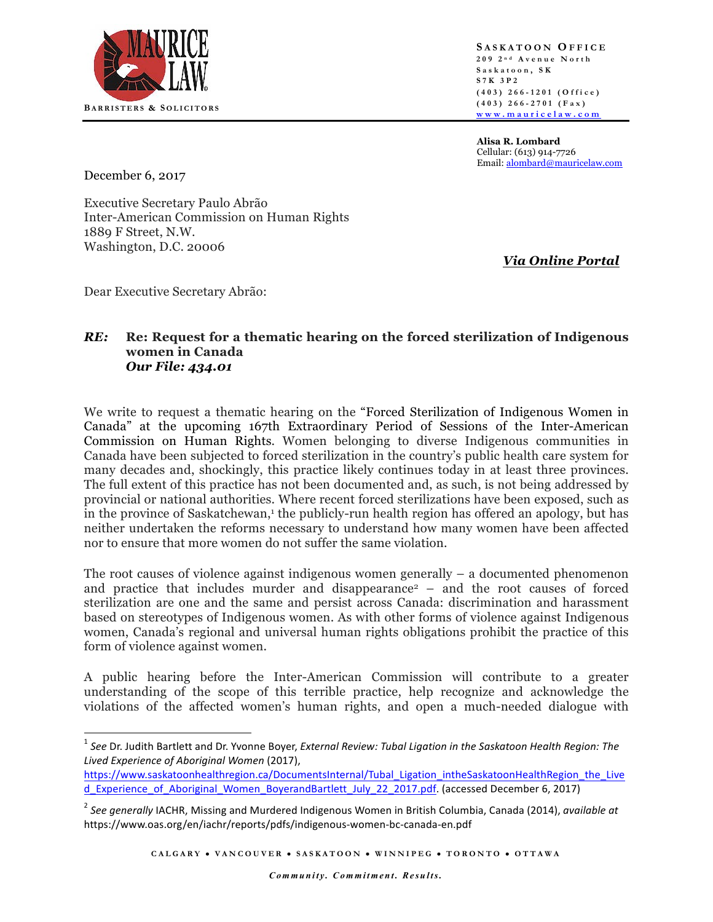

**S ASKATOON O FFICE 209 2 n d Avenue North Saskatoon , S K S7K 3P2 ( 403 ) 266 - 1201 (Office ) ( 403 ) 266 - 2701 (Fax ) www.mauricelaw.com** 

**Alisa R. Lombard** Cellular: (613) 914-7726 Email: alombard@mauricelaw.com

December 6, 2017

Executive Secretary Paulo Abrão Inter-American Commission on Human Rights 1889 F Street, N.W. Washington, D.C. 20006

*Via Online Portal*

Dear Executive Secretary Abrão:

## *RE:* **Re: Request for a thematic hearing on the forced sterilization of Indigenous women in Canada** *Our File: 434.01*

We write to request a thematic hearing on the "Forced Sterilization of Indigenous Women in Canada" at the upcoming 167th Extraordinary Period of Sessions of the Inter-American Commission on Human Rights. Women belonging to diverse Indigenous communities in Canada have been subjected to forced sterilization in the country's public health care system for many decades and, shockingly, this practice likely continues today in at least three provinces. The full extent of this practice has not been documented and, as such, is not being addressed by provincial or national authorities. Where recent forced sterilizations have been exposed, such as in the province of Saskatchewan,<sup>1</sup> the publicly-run health region has offered an apology, but has neither undertaken the reforms necessary to understand how many women have been affected nor to ensure that more women do not suffer the same violation.

The root causes of violence against indigenous women generally  $-$  a documented phenomenon and practice that includes murder and disappearance<sup>2</sup> – and the root causes of forced sterilization are one and the same and persist across Canada: discrimination and harassment based on stereotypes of Indigenous women. As with other forms of violence against Indigenous women, Canada's regional and universal human rights obligations prohibit the practice of this form of violence against women.

A public hearing before the Inter-American Commission will contribute to a greater understanding of the scope of this terrible practice, help recognize and acknowledge the violations of the affected women's human rights, and open a much-needed dialogue with

<sup>&</sup>lt;sup>1</sup> See Dr. Judith Bartlett and Dr. Yvonne Boyer, *External Review: Tubal Ligation in the Saskatoon Health Region: The Lived Experience of Aboriginal Women* (2017), 

https://www.saskatoonhealthregion.ca/DocumentsInternal/Tubal\_Ligation\_intheSaskatoonHealthRegion\_the\_Live d Experience of Aboriginal Women BoyerandBartlett July 22 2017.pdf. (accessed December 6, 2017)

<sup>&</sup>lt;sup>2</sup> See generally IACHR, Missing and Murdered Indigenous Women in British Columbia, Canada (2014), *available at* https://www.oas.org/en/iachr/reports/pdfs/indigenous-women-bc-canada-en.pdf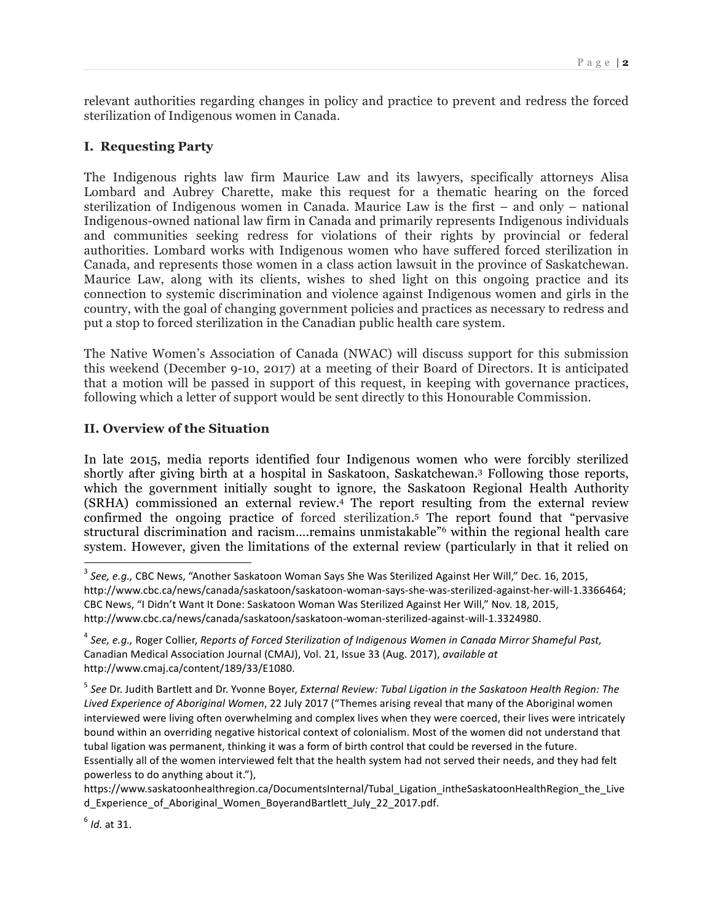relevant authorities regarding changes in policy and practice to prevent and redress the forced sterilization of Indigenous women in Canada.

### **I. Requesting Party**

The Indigenous rights law firm Maurice Law and its lawyers, specifically attorneys Alisa Lombard and Aubrey Charette, make this request for a thematic hearing on the forced sterilization of Indigenous women in Canada. Maurice Law is the first – and only – national Indigenous-owned national law firm in Canada and primarily represents Indigenous individuals and communities seeking redress for violations of their rights by provincial or federal authorities. Lombard works with Indigenous women who have suffered forced sterilization in Canada, and represents those women in a class action lawsuit in the province of Saskatchewan. Maurice Law, along with its clients, wishes to shed light on this ongoing practice and its connection to systemic discrimination and violence against Indigenous women and girls in the country, with the goal of changing government policies and practices as necessary to redress and put a stop to forced sterilization in the Canadian public health care system.

The Native Women's Association of Canada (NWAC) will discuss support for this submission this weekend (December 9-10, 2017) at a meeting of their Board of Directors. It is anticipated that a motion will be passed in support of this request, in keeping with governance practices, following which a letter of support would be sent directly to this Honourable Commission.

#### **II. Overview of the Situation**

In late 2015, media reports identified four Indigenous women who were forcibly sterilized shortly after giving birth at a hospital in Saskatoon, Saskatchewan.3 Following those reports, which the government initially sought to ignore, the Saskatoon Regional Health Authority (SRHA) commissioned an external review.4 The report resulting from the external review confirmed the ongoing practice of forced sterilization. <sup>5</sup> The report found that "pervasive structural discrimination and racism….remains unmistakable"6 within the regional health care system. However, given the limitations of the external review (particularly in that it relied on

<sup>&</sup>lt;sup>3</sup> See, e.g., CBC News, "Another Saskatoon Woman Says She Was Sterilized Against Her Will," Dec. 16, 2015, http://www.cbc.ca/news/canada/saskatoon/saskatoon-woman-says-she-was-sterilized-against-her-will-1.3366464; CBC News, "I Didn't Want It Done: Saskatoon Woman Was Sterilized Against Her Will," Nov. 18, 2015, http://www.cbc.ca/news/canada/saskatoon/saskatoon-woman-sterilized-against-will-1.3324980.

<sup>&</sup>lt;sup>4</sup> See, e.g., Roger Collier, Reports of Forced Sterilization of Indigenous Women in Canada Mirror Shameful Past, Canadian Medical Association Journal (CMAJ), Vol. 21, Issue 33 (Aug. 2017), *available at* http://www.cmaj.ca/content/189/33/E1080.

<sup>&</sup>lt;sup>5</sup> See Dr. Judith Bartlett and Dr. Yvonne Boyer, *External Review: Tubal Ligation in the Saskatoon Health Region: The* Lived Experience of Aboriginal Women, 22 July 2017 ("Themes arising reveal that many of the Aboriginal women interviewed were living often overwhelming and complex lives when they were coerced, their lives were intricately bound within an overriding negative historical context of colonialism. Most of the women did not understand that tubal ligation was permanent, thinking it was a form of birth control that could be reversed in the future. Essentially all of the women interviewed felt that the health system had not served their needs, and they had felt powerless to do anything about it."),

https://www.saskatoonhealthregion.ca/DocumentsInternal/Tubal\_Ligation\_intheSaskatoonHealthRegion\_the\_Live d Experience of Aboriginal Women BoyerandBartlett July 22 2017.pdf.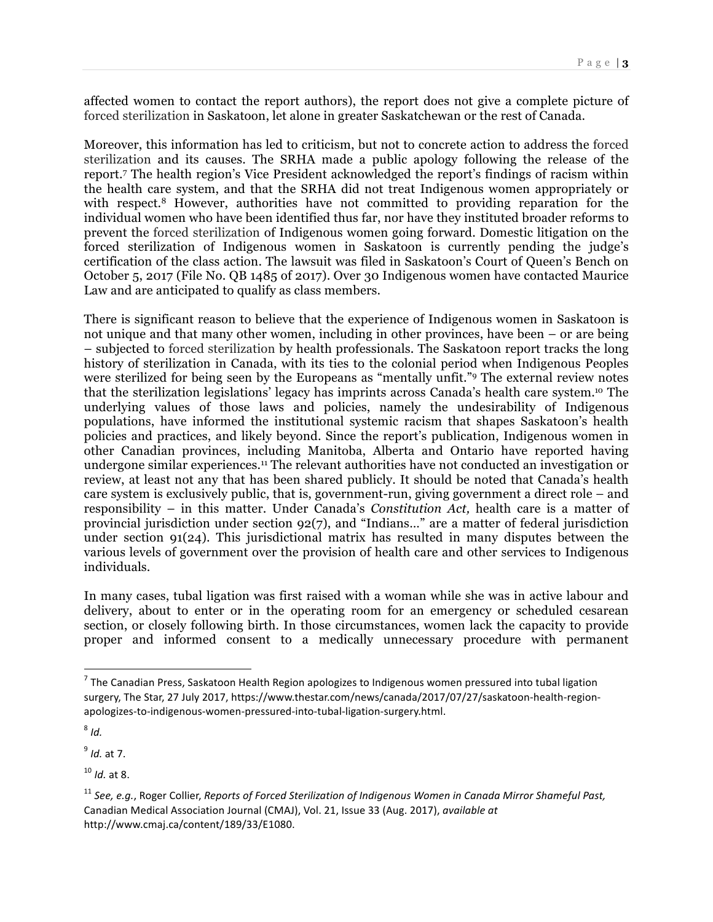affected women to contact the report authors), the report does not give a complete picture of forced sterilization in Saskatoon, let alone in greater Saskatchewan or the rest of Canada.

Moreover, this information has led to criticism, but not to concrete action to address the forced sterilization and its causes. The SRHA made a public apology following the release of the report.7 The health region's Vice President acknowledged the report's findings of racism within the health care system, and that the SRHA did not treat Indigenous women appropriately or with respect.<sup>8</sup> However, authorities have not committed to providing reparation for the individual women who have been identified thus far, nor have they instituted broader reforms to prevent the forced sterilization of Indigenous women going forward. Domestic litigation on the forced sterilization of Indigenous women in Saskatoon is currently pending the judge's certification of the class action. The lawsuit was filed in Saskatoon's Court of Queen's Bench on October 5, 2017 (File No. QB 1485 of 2017). Over 30 Indigenous women have contacted Maurice Law and are anticipated to qualify as class members.

There is significant reason to believe that the experience of Indigenous women in Saskatoon is not unique and that many other women, including in other provinces, have been  $-$  or are being – subjected to forced sterilization by health professionals. The Saskatoon report tracks the long history of sterilization in Canada, with its ties to the colonial period when Indigenous Peoples were sterilized for being seen by the Europeans as "mentally unfit."9 The external review notes that the sterilization legislations' legacy has imprints across Canada's health care system.10 The underlying values of those laws and policies, namely the undesirability of Indigenous populations, have informed the institutional systemic racism that shapes Saskatoon's health policies and practices, and likely beyond. Since the report's publication, Indigenous women in other Canadian provinces, including Manitoba, Alberta and Ontario have reported having undergone similar experiences.11 The relevant authorities have not conducted an investigation or review, at least not any that has been shared publicly. It should be noted that Canada's health care system is exclusively public, that is, government-run, giving government a direct role – and responsibility – in this matter. Under Canada's *Constitution Act,* health care is a matter of provincial jurisdiction under section 92(7), and "Indians…" are a matter of federal jurisdiction under section 91(24). This jurisdictional matrix has resulted in many disputes between the various levels of government over the provision of health care and other services to Indigenous individuals.

In many cases, tubal ligation was first raised with a woman while she was in active labour and delivery, about to enter or in the operating room for an emergency or scheduled cesarean section, or closely following birth. In those circumstances, women lack the capacity to provide proper and informed consent to a medically unnecessary procedure with permanent

 $7$  The Canadian Press, Saskatoon Health Region apologizes to Indigenous women pressured into tubal ligation surgery, The Star, 27 July 2017, https://www.thestar.com/news/canada/2017/07/27/saskatoon-health-regionapologizes-to-indigenous-women-pressured-into-tubal-ligation-surgery.html.

<sup>8</sup> *Id.*

<sup>9</sup> *Id.* at 7. 

<sup>&</sup>lt;sup>10</sup> *Id.* at 8.

<sup>&</sup>lt;sup>11</sup> See, e.g., Roger Collier, Reports of Forced Sterilization of Indigenous Women in Canada Mirror Shameful Past, Canadian Medical Association Journal (CMAJ), Vol. 21, Issue 33 (Aug. 2017), *available at* http://www.cmaj.ca/content/189/33/E1080.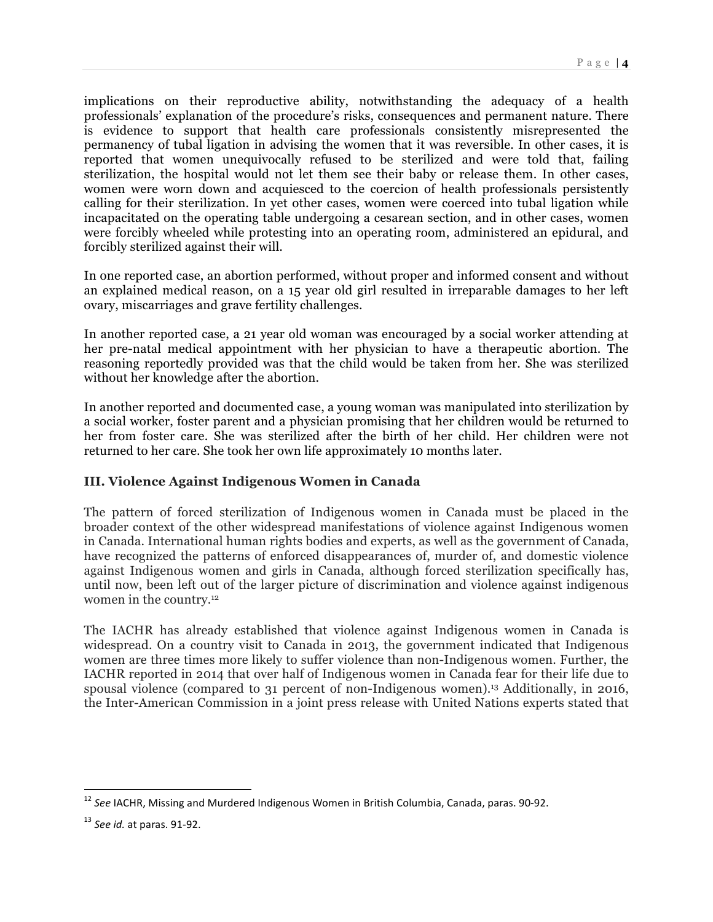implications on their reproductive ability, notwithstanding the adequacy of a health professionals' explanation of the procedure's risks, consequences and permanent nature. There is evidence to support that health care professionals consistently misrepresented the permanency of tubal ligation in advising the women that it was reversible. In other cases, it is reported that women unequivocally refused to be sterilized and were told that, failing sterilization, the hospital would not let them see their baby or release them. In other cases, women were worn down and acquiesced to the coercion of health professionals persistently calling for their sterilization. In yet other cases, women were coerced into tubal ligation while incapacitated on the operating table undergoing a cesarean section, and in other cases, women were forcibly wheeled while protesting into an operating room, administered an epidural, and forcibly sterilized against their will.

In one reported case, an abortion performed, without proper and informed consent and without an explained medical reason, on a 15 year old girl resulted in irreparable damages to her left ovary, miscarriages and grave fertility challenges.

In another reported case, a 21 year old woman was encouraged by a social worker attending at her pre-natal medical appointment with her physician to have a therapeutic abortion. The reasoning reportedly provided was that the child would be taken from her. She was sterilized without her knowledge after the abortion.

In another reported and documented case, a young woman was manipulated into sterilization by a social worker, foster parent and a physician promising that her children would be returned to her from foster care. She was sterilized after the birth of her child. Her children were not returned to her care. She took her own life approximately 10 months later.

# **III. Violence Against Indigenous Women in Canada**

The pattern of forced sterilization of Indigenous women in Canada must be placed in the broader context of the other widespread manifestations of violence against Indigenous women in Canada. International human rights bodies and experts, as well as the government of Canada, have recognized the patterns of enforced disappearances of, murder of, and domestic violence against Indigenous women and girls in Canada, although forced sterilization specifically has, until now, been left out of the larger picture of discrimination and violence against indigenous women in the country.12

The IACHR has already established that violence against Indigenous women in Canada is widespread. On a country visit to Canada in 2013, the government indicated that Indigenous women are three times more likely to suffer violence than non-Indigenous women. Further, the IACHR reported in 2014 that over half of Indigenous women in Canada fear for their life due to spousal violence (compared to 31 percent of non-Indigenous women).13 Additionally, in 2016, the Inter-American Commission in a joint press release with United Nations experts stated that

<sup>&</sup>lt;sup>12</sup> See IACHR, Missing and Murdered Indigenous Women in British Columbia, Canada, paras. 90-92.

<sup>&</sup>lt;sup>13</sup> *See id.* at paras. 91-92.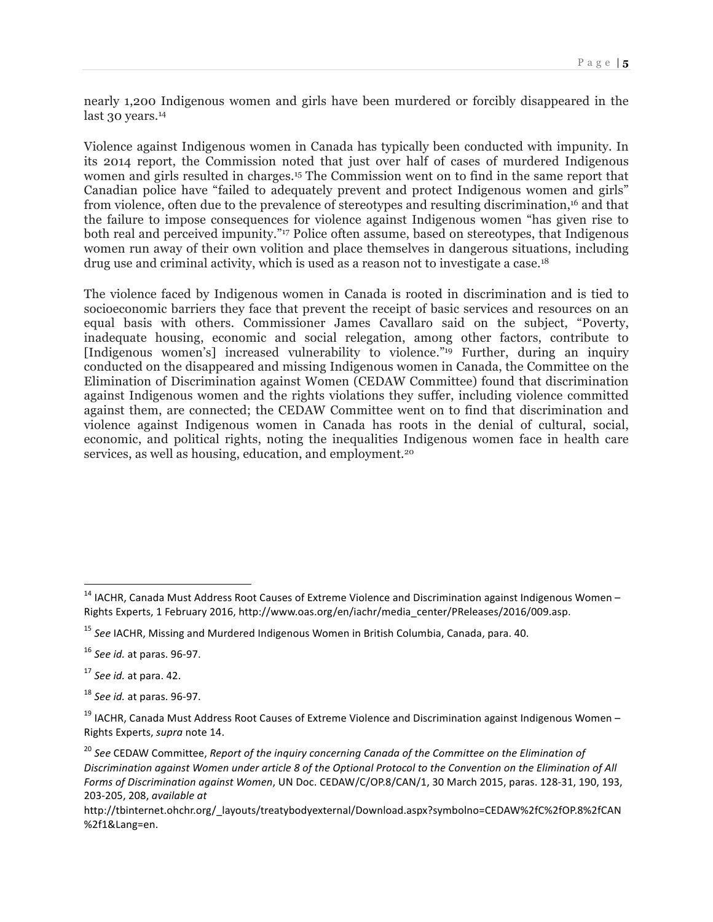nearly 1,200 Indigenous women and girls have been murdered or forcibly disappeared in the last 30 years.<sup>14</sup>

Violence against Indigenous women in Canada has typically been conducted with impunity. In its 2014 report, the Commission noted that just over half of cases of murdered Indigenous women and girls resulted in charges.15 The Commission went on to find in the same report that Canadian police have "failed to adequately prevent and protect Indigenous women and girls" from violence, often due to the prevalence of stereotypes and resulting discrimination,16 and that the failure to impose consequences for violence against Indigenous women "has given rise to both real and perceived impunity."<sup>17</sup> Police often assume, based on stereotypes, that Indigenous women run away of their own volition and place themselves in dangerous situations, including drug use and criminal activity, which is used as a reason not to investigate a case.<sup>18</sup>

The violence faced by Indigenous women in Canada is rooted in discrimination and is tied to socioeconomic barriers they face that prevent the receipt of basic services and resources on an equal basis with others. Commissioner James Cavallaro said on the subject, "Poverty, inadequate housing, economic and social relegation, among other factors, contribute to [Indigenous women's] increased vulnerability to violence."<sup>19</sup> Further, during an inquiry conducted on the disappeared and missing Indigenous women in Canada, the Committee on the Elimination of Discrimination against Women (CEDAW Committee) found that discrimination against Indigenous women and the rights violations they suffer, including violence committed against them, are connected; the CEDAW Committee went on to find that discrimination and violence against Indigenous women in Canada has roots in the denial of cultural, social, economic, and political rights, noting the inequalities Indigenous women face in health care services, as well as housing, education, and employment.<sup>20</sup>

 $14$  IACHR, Canada Must Address Root Causes of Extreme Violence and Discrimination against Indigenous Women – Rights Experts, 1 February 2016, http://www.oas.org/en/iachr/media\_center/PReleases/2016/009.asp.

<sup>&</sup>lt;sup>15</sup> See IACHR, Missing and Murdered Indigenous Women in British Columbia, Canada, para. 40.

<sup>&</sup>lt;sup>16</sup> See id. at paras. 96-97.

<sup>&</sup>lt;sup>17</sup> See id. at para. 42.

<sup>&</sup>lt;sup>18</sup> See id. at paras. 96-97.

 $19$  IACHR, Canada Must Address Root Causes of Extreme Violence and Discrimination against Indigenous Women – Rights Experts, *supra* note 14.

<sup>&</sup>lt;sup>20</sup> See CEDAW Committee, Report of the inquiry concerning Canada of the Committee on the Elimination of Discrimination against Women under article 8 of the Optional Protocol to the Convention on the Elimination of All *Forms of Discrimination against Women*, UN Doc. CEDAW/C/OP.8/CAN/1, 30 March 2015, paras. 128-31, 190, 193, 203-205, 208, *available at*

http://tbinternet.ohchr.org/\_layouts/treatybodyexternal/Download.aspx?symbolno=CEDAW%2fC%2fOP.8%2fCAN %2f1&Lang=en.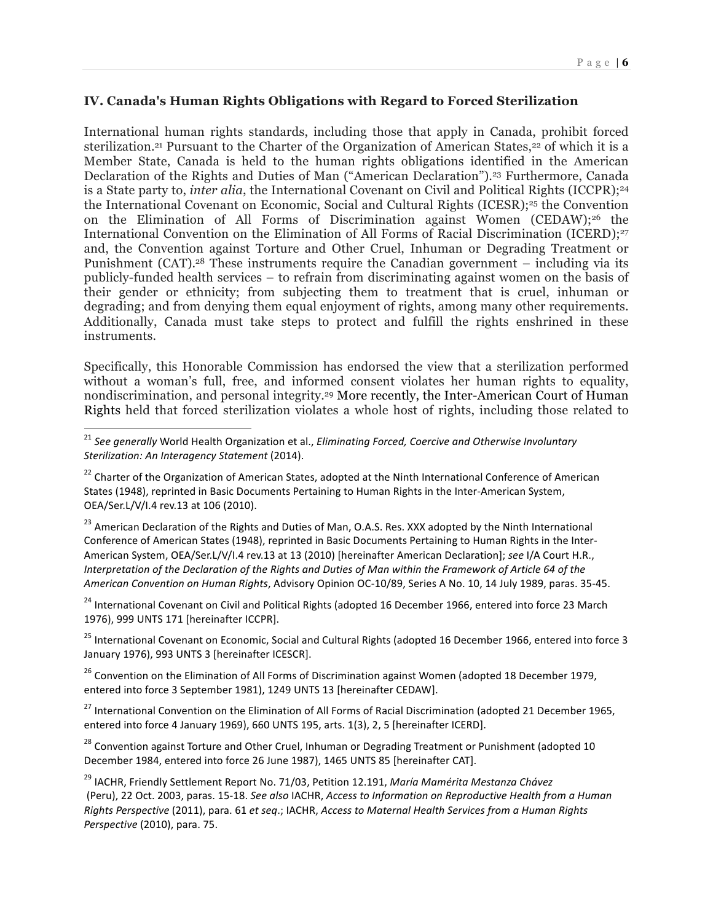### **IV. Canada's Human Rights Obligations with Regard to Forced Sterilization**

International human rights standards, including those that apply in Canada, prohibit forced sterilization.<sup>21</sup> Pursuant to the Charter of the Organization of American States,<sup>22</sup> of which it is a Member State, Canada is held to the human rights obligations identified in the American Declaration of the Rights and Duties of Man ("American Declaration").<sup>23</sup> Furthermore, Canada is a State party to, *inter alia*, the International Covenant on Civil and Political Rights (ICCPR);<sup>24</sup> the International Covenant on Economic, Social and Cultural Rights (ICESR);<sup>25</sup> the Convention on the Elimination of All Forms of Discrimination against Women (CEDAW);26 the International Convention on the Elimination of All Forms of Racial Discrimination (ICERD);<sup>27</sup> and, the Convention against Torture and Other Cruel, Inhuman or Degrading Treatment or Punishment (CAT).28 These instruments require the Canadian government – including via its publicly-funded health services – to refrain from discriminating against women on the basis of their gender or ethnicity; from subjecting them to treatment that is cruel, inhuman or degrading; and from denying them equal enjoyment of rights, among many other requirements. Additionally, Canada must take steps to protect and fulfill the rights enshrined in these instruments.

Specifically, this Honorable Commission has endorsed the view that a sterilization performed without a woman's full, free, and informed consent violates her human rights to equality, nondiscrimination, and personal integrity.29 More recently, the Inter-American Court of Human Rights held that forced sterilization violates a whole host of rights, including those related to

<sup>23</sup> American Declaration of the Rights and Duties of Man, O.A.S. Res. XXX adopted by the Ninth International Conference of American States (1948), reprinted in Basic Documents Pertaining to Human Rights in the Inter-American System, OEA/Ser.L/V/I.4 rev.13 at 13 (2010) [hereinafter American Declaration]; see I/A Court H.R., *Interpretation of the Declaration of the Rights and Duties of Man within the Framework of Article 64 of the American Convention on Human Rights*, Advisory Opinion OC-10/89, Series A No. 10, 14 July 1989, paras. 35-45.

<sup>24</sup> International Covenant on Civil and Political Rights (adopted 16 December 1966, entered into force 23 March 1976), 999 UNTS 171 [hereinafter ICCPR].

<sup>25</sup> International Covenant on Economic, Social and Cultural Rights (adopted 16 December 1966, entered into force 3 January 1976), 993 UNTS 3 [hereinafter ICESCR].

 $26$  Convention on the Elimination of All Forms of Discrimination against Women (adopted 18 December 1979, entered into force 3 September 1981), 1249 UNTS 13 [hereinafter CEDAW].

<sup>27</sup> International Convention on the Elimination of All Forms of Racial Discrimination (adopted 21 December 1965, entered into force 4 January 1969), 660 UNTS 195, arts. 1(3), 2, 5 [hereinafter ICERD].

<sup>28</sup> Convention against Torture and Other Cruel, Inhuman or Degrading Treatment or Punishment (adopted 10 December 1984, entered into force 26 June 1987), 1465 UNTS 85 [hereinafter CAT].

<sup>29</sup> IACHR, Friendly Settlement Report No. 71/03, Petition 12.191, *María Mamérita Mestanza Chávez* (Peru), 22 Oct. 2003, paras. 15-18. See also IACHR, *Access to Information on Reproductive Health from a Human Rights Perspective* (2011), para. 61 et seq.; IACHR, Access to Maternal Health Services from a Human Rights *Perspective* (2010), para. 75.

<sup>&</sup>lt;sup>21</sup> See generally World Health Organization et al., *Eliminating Forced, Coercive and Otherwise Involuntary Sterilization: An Interagency Statement* (2014).

<sup>&</sup>lt;sup>22</sup> Charter of the Organization of American States, adopted at the Ninth International Conference of American States (1948), reprinted in Basic Documents Pertaining to Human Rights in the Inter-American System, OEA/Ser.L/V/I.4 rev.13 at 106 (2010).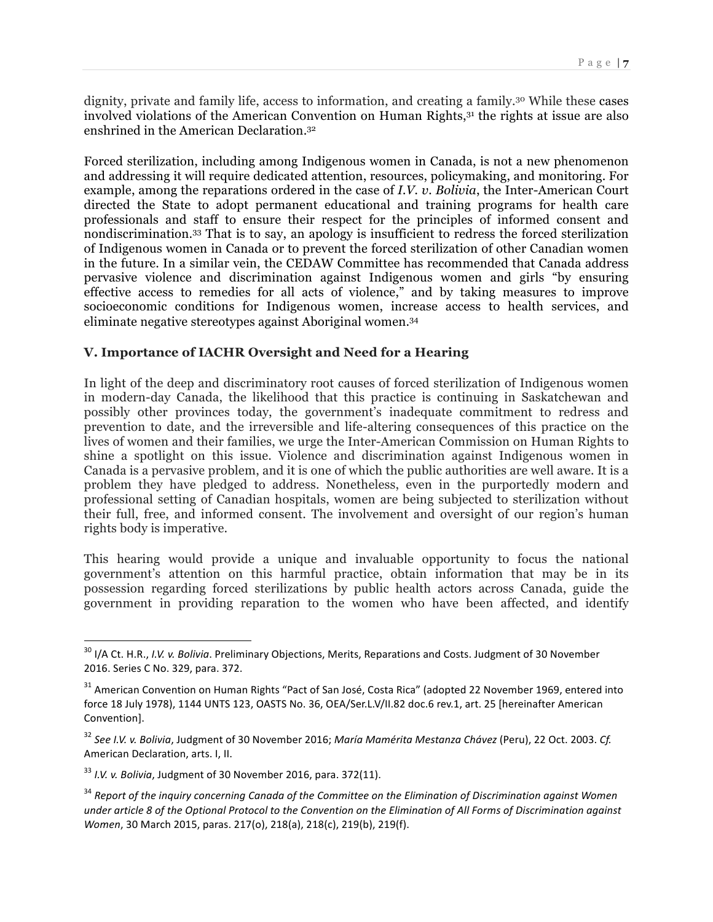dignity, private and family life, access to information, and creating a family.30 While these cases involved violations of the American Convention on Human Rights,<sup>31</sup> the rights at issue are also enshrined in the American Declaration.32

Forced sterilization, including among Indigenous women in Canada, is not a new phenomenon and addressing it will require dedicated attention, resources, policymaking, and monitoring. For example, among the reparations ordered in the case of *I.V. v. Bolivia*, the Inter-American Court directed the State to adopt permanent educational and training programs for health care professionals and staff to ensure their respect for the principles of informed consent and nondiscrimination.33 That is to say, an apology is insufficient to redress the forced sterilization of Indigenous women in Canada or to prevent the forced sterilization of other Canadian women in the future. In a similar vein, the CEDAW Committee has recommended that Canada address pervasive violence and discrimination against Indigenous women and girls "by ensuring effective access to remedies for all acts of violence," and by taking measures to improve socioeconomic conditions for Indigenous women, increase access to health services, and eliminate negative stereotypes against Aboriginal women.34

# **V. Importance of IACHR Oversight and Need for a Hearing**

In light of the deep and discriminatory root causes of forced sterilization of Indigenous women in modern-day Canada, the likelihood that this practice is continuing in Saskatchewan and possibly other provinces today, the government's inadequate commitment to redress and prevention to date, and the irreversible and life-altering consequences of this practice on the lives of women and their families, we urge the Inter-American Commission on Human Rights to shine a spotlight on this issue. Violence and discrimination against Indigenous women in Canada is a pervasive problem, and it is one of which the public authorities are well aware. It is a problem they have pledged to address. Nonetheless, even in the purportedly modern and professional setting of Canadian hospitals, women are being subjected to sterilization without their full, free, and informed consent. The involvement and oversight of our region's human rights body is imperative.

This hearing would provide a unique and invaluable opportunity to focus the national government's attention on this harmful practice, obtain information that may be in its possession regarding forced sterilizations by public health actors across Canada, guide the government in providing reparation to the women who have been affected, and identify

<sup>&</sup>lt;sup>30</sup> I/A Ct. H.R., *I.V. v. Bolivia*. Preliminary Objections, Merits, Reparations and Costs. Judgment of 30 November 2016. Series C No. 329, para. 372.

<sup>&</sup>lt;sup>31</sup> American Convention on Human Rights "Pact of San José, Costa Rica" (adopted 22 November 1969, entered into force 18 July 1978), 1144 UNTS 123, OASTS No. 36, OEA/Ser.L.V/II.82 doc.6 rev.1, art. 25 [hereinafter American Convention].

<sup>&</sup>lt;sup>32</sup> See I.V. v. Bolivia, Judgment of 30 November 2016; María Mamérita Mestanza Chávez (Peru), 22 Oct. 2003. Cf. American Declaration, arts. I, II.

<sup>&</sup>lt;sup>33</sup> I.V. v. Bolivia, Judgment of 30 November 2016, para. 372(11).

<sup>&</sup>lt;sup>34</sup> Report of the inquiry concerning Canada of the Committee on the Elimination of Discrimination against Women under article 8 of the Optional Protocol to the Convention on the Elimination of All Forms of Discrimination against *Women*, 30 March 2015, paras. 217(o), 218(a), 218(c), 219(b), 219(f).